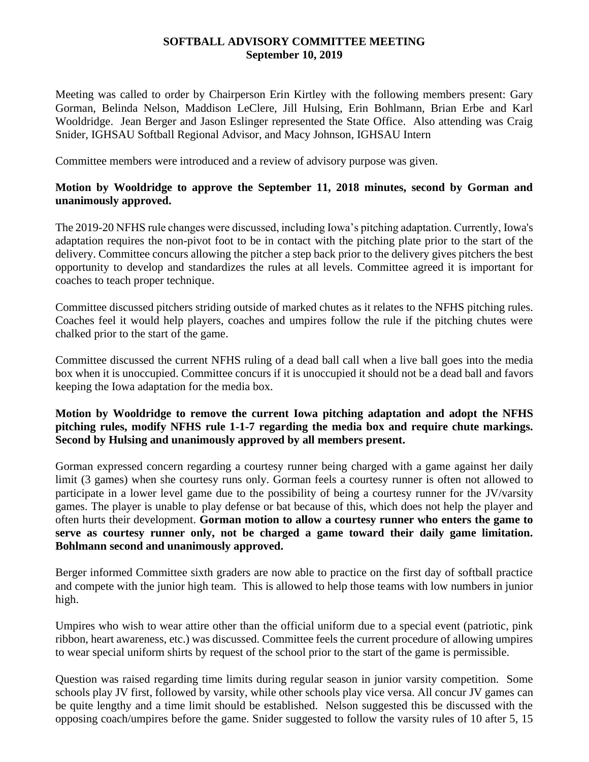## **SOFTBALL ADVISORY COMMITTEE MEETING September 10, 2019**

Meeting was called to order by Chairperson Erin Kirtley with the following members present: Gary Gorman, Belinda Nelson, Maddison LeClere, Jill Hulsing, Erin Bohlmann, Brian Erbe and Karl Wooldridge. Jean Berger and Jason Eslinger represented the State Office. Also attending was Craig Snider, IGHSAU Softball Regional Advisor, and Macy Johnson, IGHSAU Intern

Committee members were introduced and a review of advisory purpose was given.

## **Motion by Wooldridge to approve the September 11, 2018 minutes, second by Gorman and unanimously approved.**

The 2019-20 NFHS rule changes were discussed, including Iowa's pitching adaptation. Currently, Iowa's adaptation requires the non-pivot foot to be in contact with the pitching plate prior to the start of the delivery. Committee concurs allowing the pitcher a step back prior to the delivery gives pitchers the best opportunity to develop and standardizes the rules at all levels. Committee agreed it is important for coaches to teach proper technique.

Committee discussed pitchers striding outside of marked chutes as it relates to the NFHS pitching rules. Coaches feel it would help players, coaches and umpires follow the rule if the pitching chutes were chalked prior to the start of the game.

Committee discussed the current NFHS ruling of a dead ball call when a live ball goes into the media box when it is unoccupied. Committee concurs if it is unoccupied it should not be a dead ball and favors keeping the Iowa adaptation for the media box.

## **Motion by Wooldridge to remove the current Iowa pitching adaptation and adopt the NFHS pitching rules, modify NFHS rule 1-1-7 regarding the media box and require chute markings. Second by Hulsing and unanimously approved by all members present.**

Gorman expressed concern regarding a courtesy runner being charged with a game against her daily limit (3 games) when she courtesy runs only. Gorman feels a courtesy runner is often not allowed to participate in a lower level game due to the possibility of being a courtesy runner for the JV/varsity games. The player is unable to play defense or bat because of this, which does not help the player and often hurts their development. **Gorman motion to allow a courtesy runner who enters the game to serve as courtesy runner only, not be charged a game toward their daily game limitation. Bohlmann second and unanimously approved.** 

Berger informed Committee sixth graders are now able to practice on the first day of softball practice and compete with the junior high team. This is allowed to help those teams with low numbers in junior high.

Umpires who wish to wear attire other than the official uniform due to a special event (patriotic, pink ribbon, heart awareness, etc.) was discussed. Committee feels the current procedure of allowing umpires to wear special uniform shirts by request of the school prior to the start of the game is permissible.

Question was raised regarding time limits during regular season in junior varsity competition. Some schools play JV first, followed by varsity, while other schools play vice versa. All concur JV games can be quite lengthy and a time limit should be established. Nelson suggested this be discussed with the opposing coach/umpires before the game. Snider suggested to follow the varsity rules of 10 after 5, 15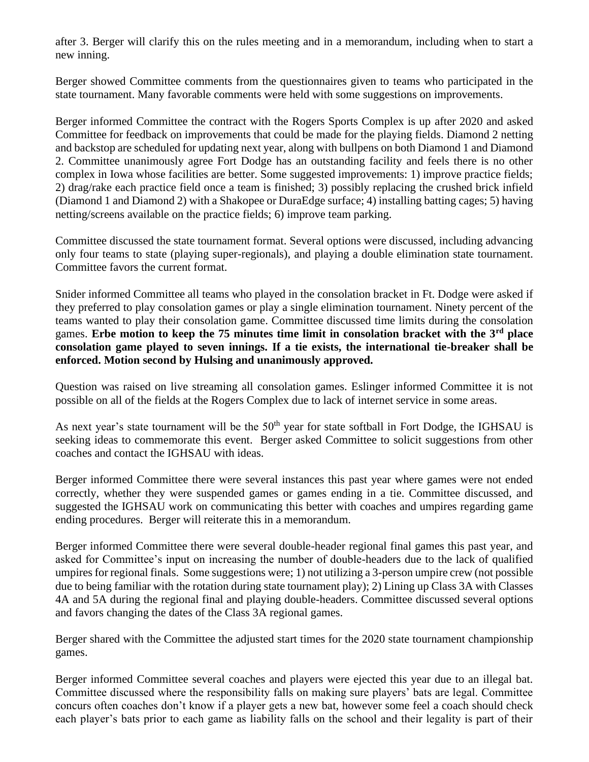after 3. Berger will clarify this on the rules meeting and in a memorandum, including when to start a new inning.

Berger showed Committee comments from the questionnaires given to teams who participated in the state tournament. Many favorable comments were held with some suggestions on improvements.

Berger informed Committee the contract with the Rogers Sports Complex is up after 2020 and asked Committee for feedback on improvements that could be made for the playing fields. Diamond 2 netting and backstop are scheduled for updating next year, along with bullpens on both Diamond 1 and Diamond 2. Committee unanimously agree Fort Dodge has an outstanding facility and feels there is no other complex in Iowa whose facilities are better. Some suggested improvements: 1) improve practice fields; 2) drag/rake each practice field once a team is finished; 3) possibly replacing the crushed brick infield (Diamond 1 and Diamond 2) with a Shakopee or DuraEdge surface; 4) installing batting cages; 5) having netting/screens available on the practice fields; 6) improve team parking.

Committee discussed the state tournament format. Several options were discussed, including advancing only four teams to state (playing super-regionals), and playing a double elimination state tournament. Committee favors the current format.

Snider informed Committee all teams who played in the consolation bracket in Ft. Dodge were asked if they preferred to play consolation games or play a single elimination tournament. Ninety percent of the teams wanted to play their consolation game. Committee discussed time limits during the consolation games. **Erbe motion to keep the 75 minutes time limit in consolation bracket with the 3rd place consolation game played to seven innings. If a tie exists, the international tie-breaker shall be enforced. Motion second by Hulsing and unanimously approved.** 

Question was raised on live streaming all consolation games. Eslinger informed Committee it is not possible on all of the fields at the Rogers Complex due to lack of internet service in some areas.

As next year's state tournament will be the 50<sup>th</sup> year for state softball in Fort Dodge, the IGHSAU is seeking ideas to commemorate this event. Berger asked Committee to solicit suggestions from other coaches and contact the IGHSAU with ideas.

Berger informed Committee there were several instances this past year where games were not ended correctly, whether they were suspended games or games ending in a tie. Committee discussed, and suggested the IGHSAU work on communicating this better with coaches and umpires regarding game ending procedures. Berger will reiterate this in a memorandum.

Berger informed Committee there were several double-header regional final games this past year, and asked for Committee's input on increasing the number of double-headers due to the lack of qualified umpires for regional finals. Some suggestions were; 1) not utilizing a 3-person umpire crew (not possible due to being familiar with the rotation during state tournament play); 2) Lining up Class 3A with Classes 4A and 5A during the regional final and playing double-headers. Committee discussed several options and favors changing the dates of the Class 3A regional games.

Berger shared with the Committee the adjusted start times for the 2020 state tournament championship games.

Berger informed Committee several coaches and players were ejected this year due to an illegal bat. Committee discussed where the responsibility falls on making sure players' bats are legal. Committee concurs often coaches don't know if a player gets a new bat, however some feel a coach should check each player's bats prior to each game as liability falls on the school and their legality is part of their